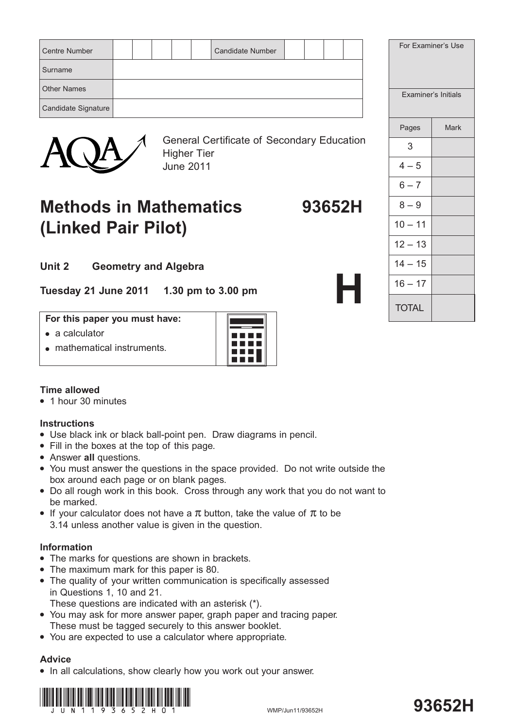| <b>Centre Number</b> |  |  | <b>Candidate Number</b> |  |  |  |
|----------------------|--|--|-------------------------|--|--|--|
| Surname              |  |  |                         |  |  |  |
| <b>Other Names</b>   |  |  |                         |  |  |  |
| Candidate Signature  |  |  |                         |  |  |  |



General Certificate of Secondary Education Higher Tier June 2011

# **Methods in Mathematics 93652H (Linked Pair Pilot)**

|         | For Examiner's Use         |      |
|---------|----------------------------|------|
|         | <b>Examiner's Initials</b> |      |
|         | Pages                      | Mark |
| ucation | 3                          |      |
|         | $4 - 5$                    |      |
|         | $6 - 7$                    |      |
| 52H     | $8 - 9$                    |      |
|         | $10 - 11$                  |      |
|         | $12 - 13$                  |      |
|         | $14 - 15$                  |      |
|         | $16 - 17$                  |      |
|         | <b>TOTAL</b>               |      |

**Unit 2 Geometry and Algebra**

**Tuesday 21 June 2011 1.30 pm to 3.00 pm**

### **For this paper you must have:**

- $\bullet$  a calculator
- $\bullet$  mathematical instruments.



# **Time allowed**

• 1 hour 30 minutes

# **Instructions**

- Use black ink or black ball-point pen. Draw diagrams in pencil.
- Fill in the boxes at the top of this page.
- **Answer all questions.**
- You must answer the questions in the space provided. Do not write outside the box around each page or on blank pages.
- Do all rough work in this book. Cross through any work that you do not want to be marked.
- If your calculator does not have a  $\pi$  button, take the value of  $\pi$  to be 3.14 unless another value is given in the question.

# **Information**

- The marks for questions are shown in brackets.
- The maximum mark for this paper is 80.
- The quality of your written communication is specifically assessed in Questions 1, 10 and 21.

These questions are indicated with an asterisk (\*).

- You may ask for more answer paper, graph paper and tracing paper. These must be tagged securely to this answer booklet.
- You are expected to use a calculator where appropriate.

# **Advice**

• In all calculations, show clearly how you work out your answer.

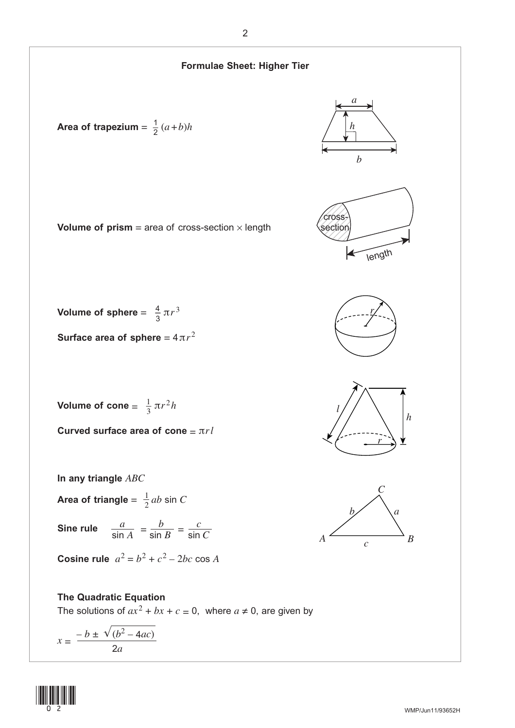

(1<u>1) (11) (11) (11)</u>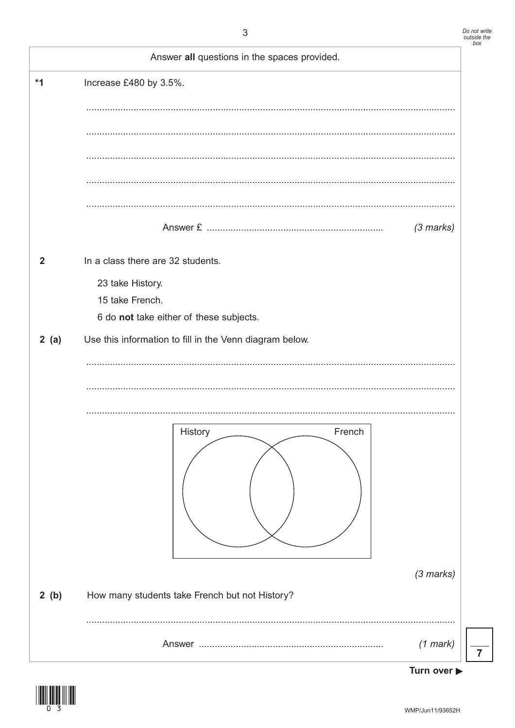|              | Answer all questions in the spaces provided.                                                                        |                     |
|--------------|---------------------------------------------------------------------------------------------------------------------|---------------------|
| $*1$         | Increase £480 by 3.5%.                                                                                              |                     |
|              |                                                                                                                     |                     |
|              |                                                                                                                     |                     |
|              |                                                                                                                     | $(3 \text{ marks})$ |
| $\mathbf{2}$ | In a class there are 32 students.<br>23 take History.<br>15 take French.<br>6 do not take either of these subjects. |                     |
| 2(a)         | Use this information to fill in the Venn diagram below.                                                             |                     |
|              | History<br>French                                                                                                   |                     |
| 2(b)         | How many students take French but not History?                                                                      | $(3$ marks)         |
|              |                                                                                                                     | $(1$ mark)          |



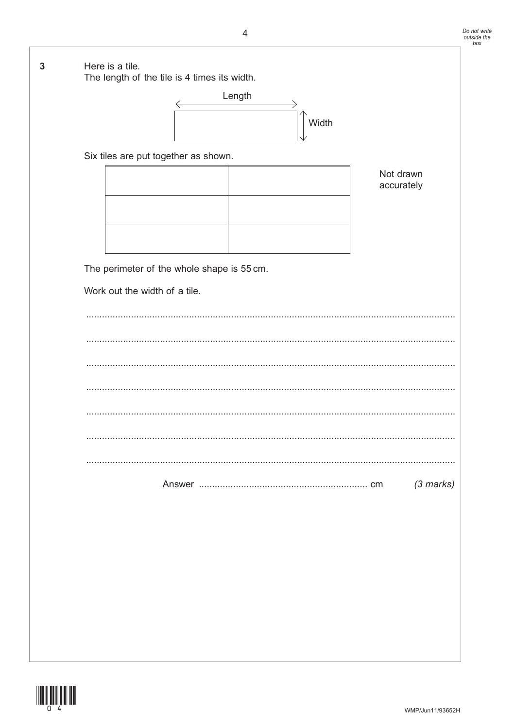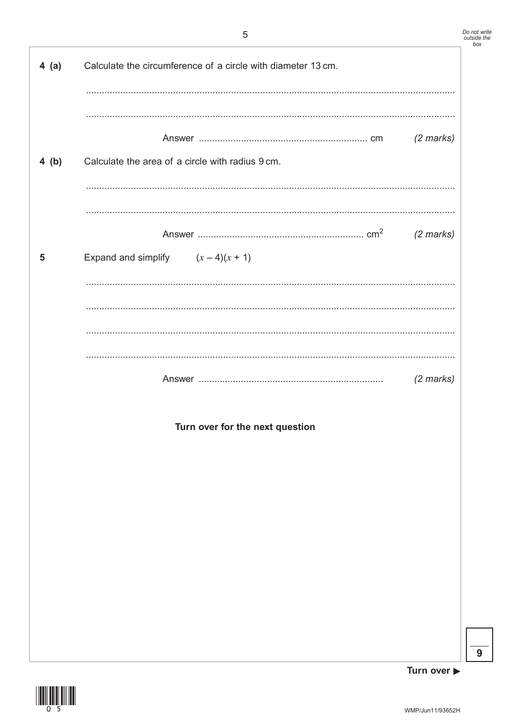| $4$ (a) | Calculate the circumference of a circle with diameter 13 cm. |                     |
|---------|--------------------------------------------------------------|---------------------|
| 4(b)    | Calculate the area of a circle with radius 9 cm.             | $(2$ marks)         |
|         |                                                              |                     |
| 5       | Expand and simplify $(x-4)(x + 1)$                           | $(2 \text{ marks})$ |
|         |                                                              |                     |
|         |                                                              | $(2 \text{ marks})$ |
|         | Turn over for the next question                              |                     |
|         |                                                              |                     |
|         |                                                              |                     |
|         |                                                              |                     |

 $\overline{9}$ 

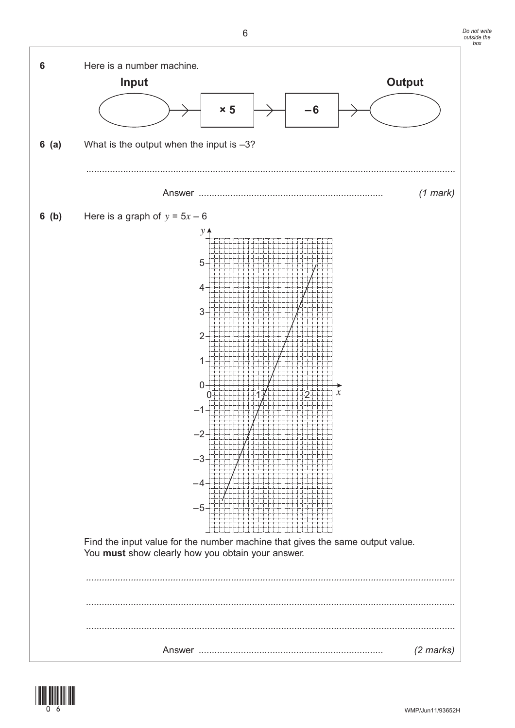

![](_page_5_Picture_3.jpeg)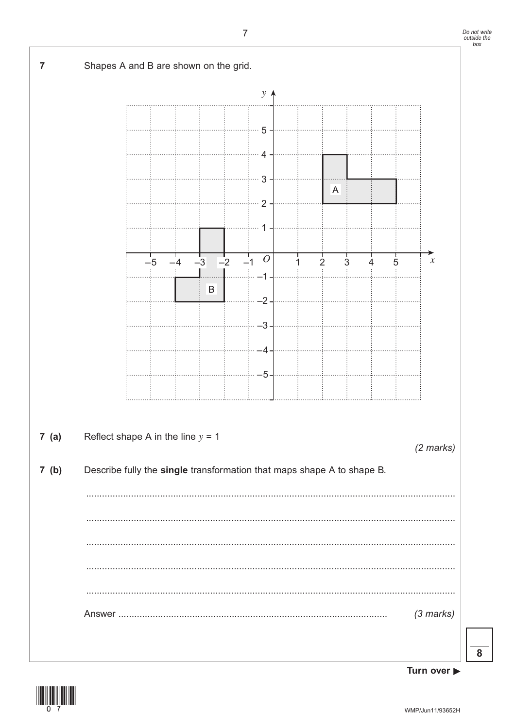![](_page_6_Figure_1.jpeg)

Turn over ▶

![](_page_6_Picture_4.jpeg)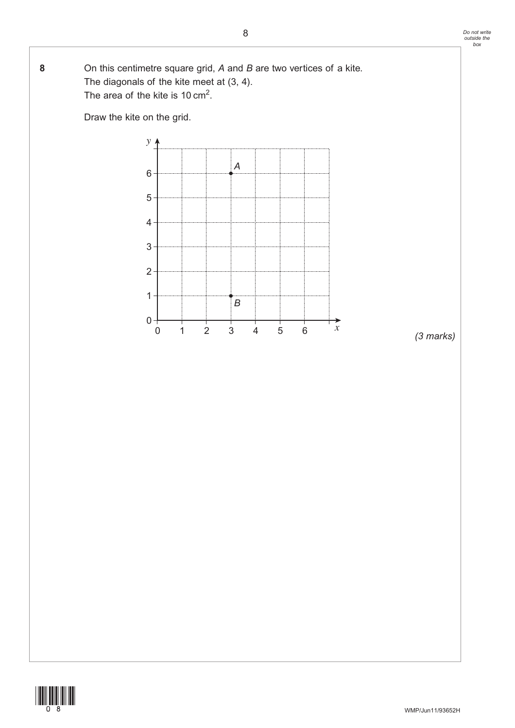**8** On this centimetre square grid, *A* and *B* are two vertices of a kite. The diagonals of the kite meet at (3, 4). The area of the kite is 10  $\text{cm}^2$ .

Draw the kite on the grid.

![](_page_7_Figure_3.jpeg)

*(3 marks)*

![](_page_7_Picture_5.jpeg)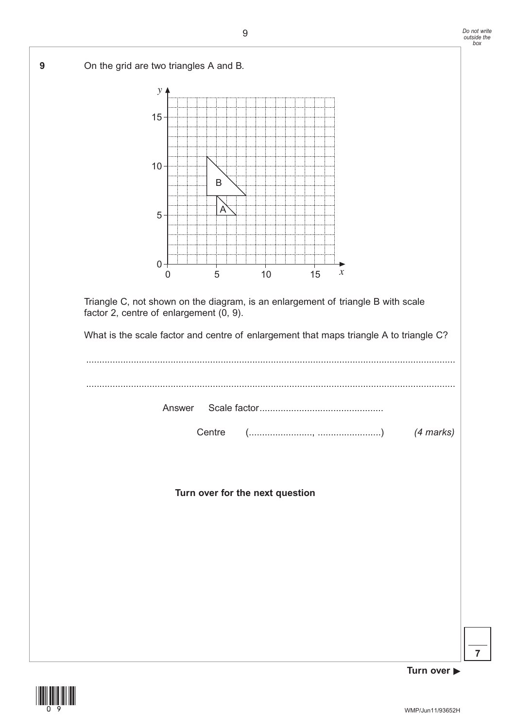**9** On the grid are two triangles A and B.

![](_page_8_Figure_2.jpeg)

Triangle C, not shown on the diagram, is an enlargement of triangle B with scale factor 2, centre of enlargement (0, 9).

What is the scale factor and centre of enlargement that maps triangle A to triangle C?

............................................................................................................................................ ............................................................................................................................................ Answer Scale factor............................................... Answer Centre (........................, ........................) *(4 marks)*

**Turn over for the next question**

![](_page_8_Picture_7.jpeg)

**Turn over**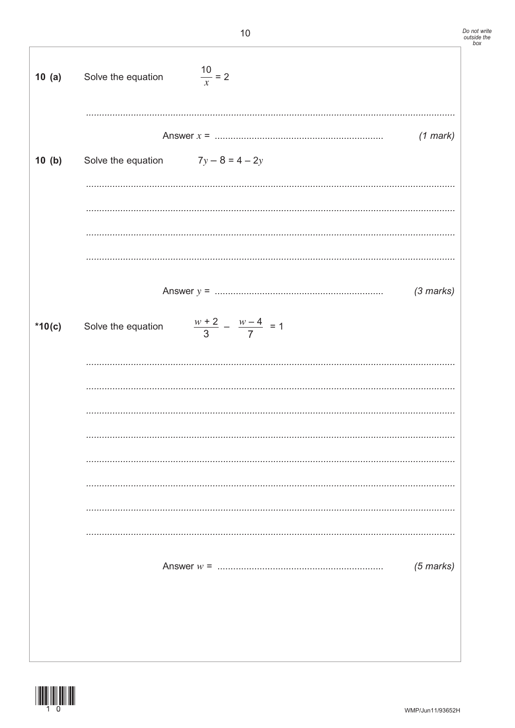| 10(a)    | Solve the equation                   | $\frac{10}{x} = 2$                  |                     |
|----------|--------------------------------------|-------------------------------------|---------------------|
| 10(b)    | Solve the equation $7y - 8 = 4 - 2y$ |                                     | $(1$ mark)          |
|          |                                      |                                     |                     |
|          |                                      |                                     |                     |
|          |                                      |                                     | $(3 \text{ marks})$ |
| $*10(c)$ | Solve the equation                   | $\frac{w+2}{3} - \frac{w-4}{7} = 1$ |                     |
|          |                                      |                                     |                     |
|          |                                      |                                     |                     |
|          |                                      |                                     |                     |
|          |                                      |                                     |                     |
|          |                                      |                                     |                     |
|          |                                      |                                     | $(5 \text{ marks})$ |
|          |                                      |                                     |                     |
|          |                                      |                                     |                     |

![](_page_9_Picture_2.jpeg)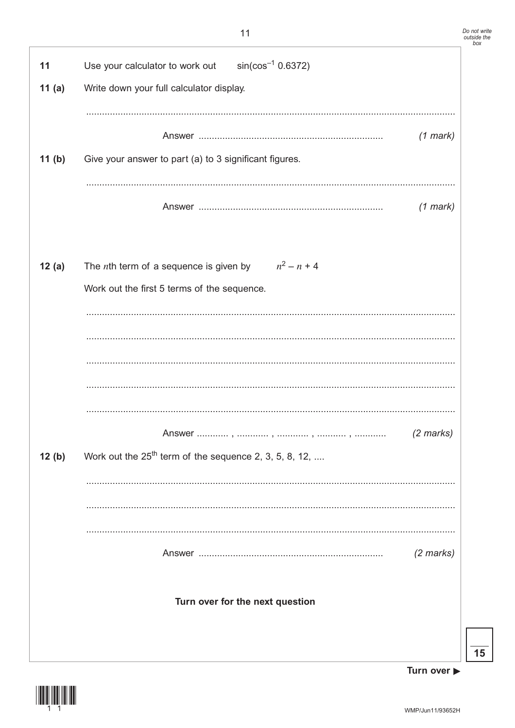![](_page_10_Figure_2.jpeg)

Turn over ▶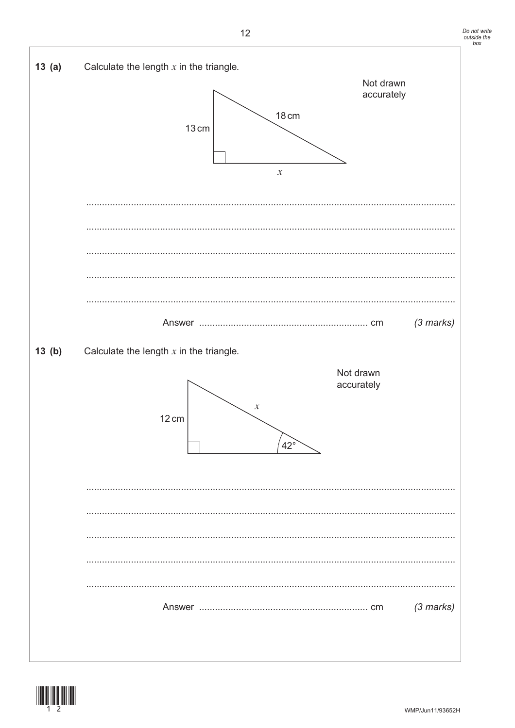![](_page_11_Figure_1.jpeg)

![](_page_11_Figure_2.jpeg)

![](_page_11_Picture_3.jpeg)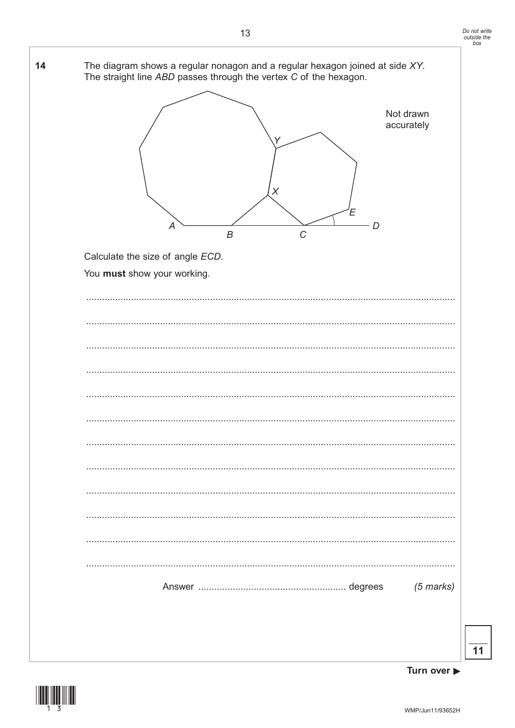![](_page_12_Figure_1.jpeg)

![](_page_12_Figure_3.jpeg)

![](_page_12_Picture_4.jpeg)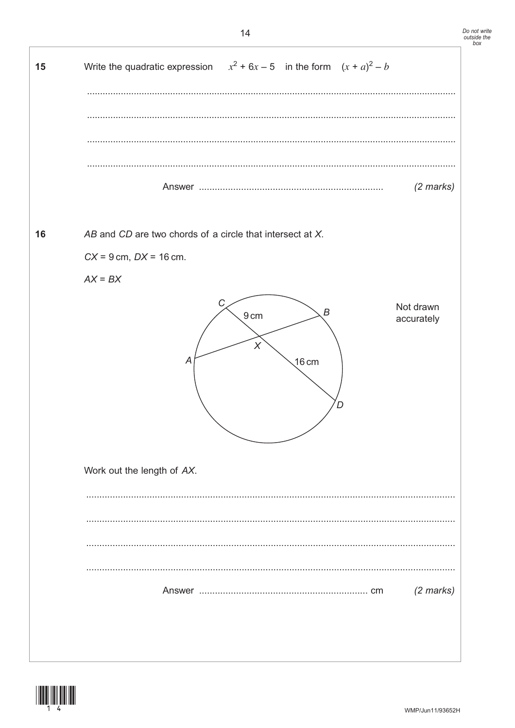![](_page_13_Figure_1.jpeg)

![](_page_13_Picture_2.jpeg)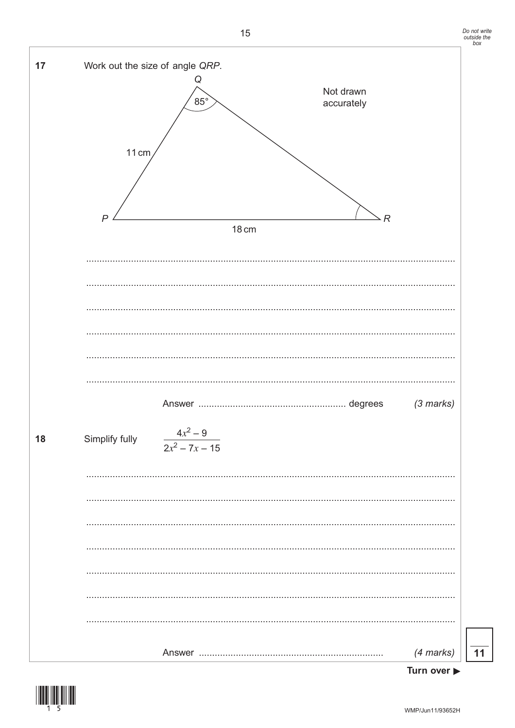![](_page_14_Figure_1.jpeg)

(4 marks)  $11$ 

![](_page_14_Figure_3.jpeg)

![](_page_14_Picture_4.jpeg)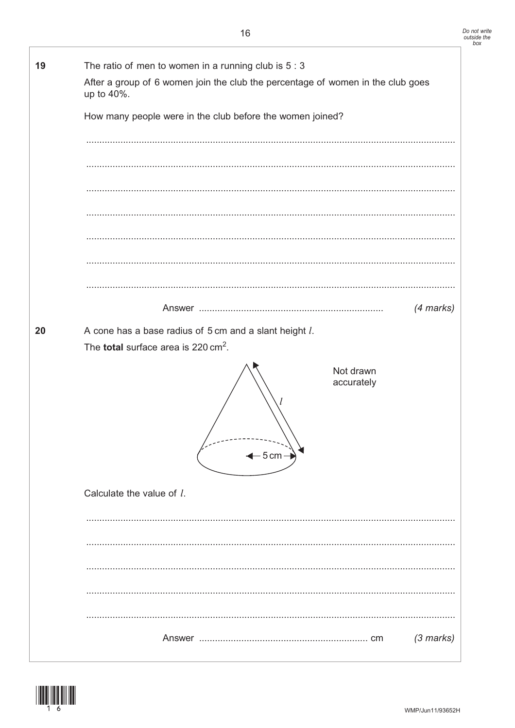| 19 | The ratio of men to women in a running club is $5:3$                                                             |             |  |  |  |  |  |
|----|------------------------------------------------------------------------------------------------------------------|-------------|--|--|--|--|--|
|    | After a group of 6 women join the club the percentage of women in the club goes<br>up to 40%.                    |             |  |  |  |  |  |
|    | How many people were in the club before the women joined?                                                        |             |  |  |  |  |  |
|    |                                                                                                                  |             |  |  |  |  |  |
|    |                                                                                                                  |             |  |  |  |  |  |
|    |                                                                                                                  |             |  |  |  |  |  |
|    |                                                                                                                  |             |  |  |  |  |  |
|    |                                                                                                                  |             |  |  |  |  |  |
|    |                                                                                                                  |             |  |  |  |  |  |
|    |                                                                                                                  | $(4$ marks) |  |  |  |  |  |
| 20 | A cone has a base radius of 5 cm and a slant height l.<br>The <b>total</b> surface area is 220 cm <sup>2</sup> . |             |  |  |  |  |  |
|    | Not drawn<br>accurately<br>$-5$ cm                                                                               |             |  |  |  |  |  |
|    | Calculate the value of l.                                                                                        |             |  |  |  |  |  |
|    |                                                                                                                  |             |  |  |  |  |  |
|    |                                                                                                                  |             |  |  |  |  |  |
|    |                                                                                                                  |             |  |  |  |  |  |
|    |                                                                                                                  |             |  |  |  |  |  |
|    |                                                                                                                  | $(3$ marks) |  |  |  |  |  |

![](_page_15_Picture_2.jpeg)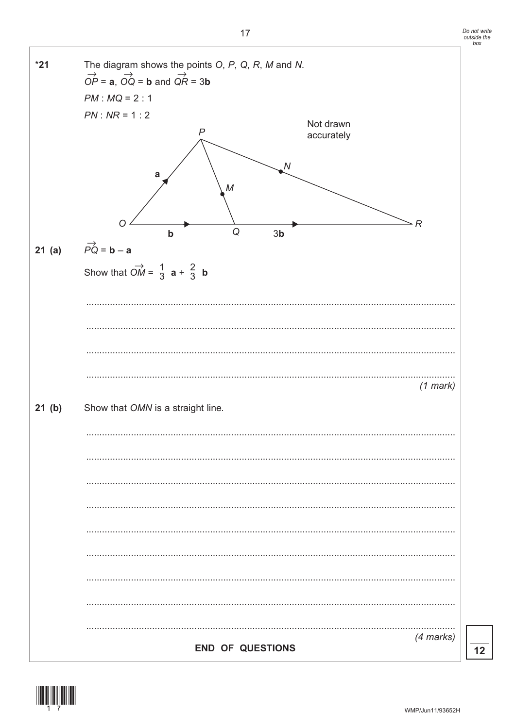![](_page_16_Figure_1.jpeg)

![](_page_16_Figure_2.jpeg)

![](_page_16_Picture_3.jpeg)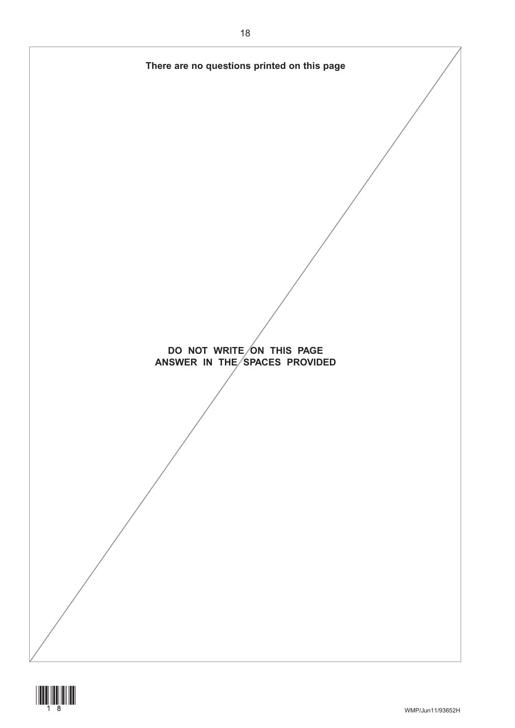![](_page_17_Figure_0.jpeg)

![](_page_17_Picture_1.jpeg)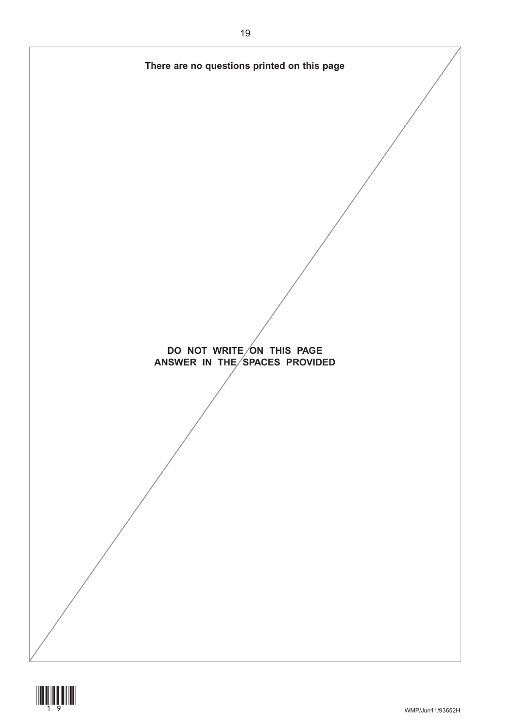![](_page_18_Figure_0.jpeg)

![](_page_18_Picture_1.jpeg)